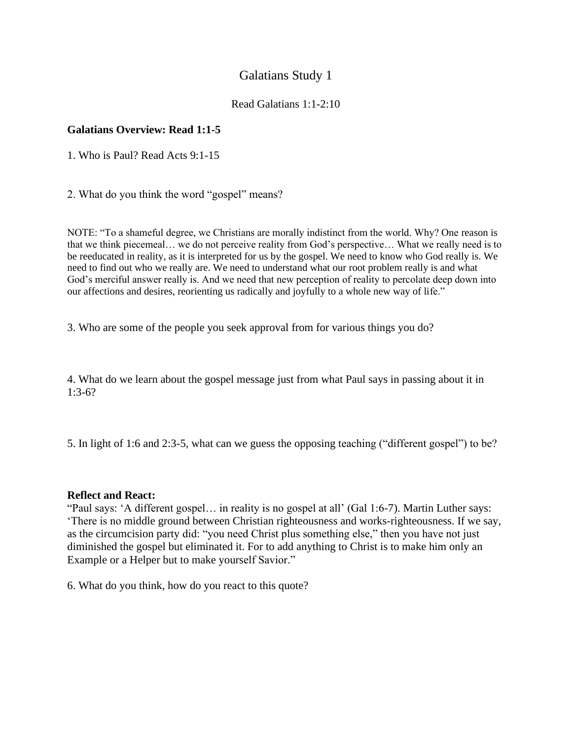## Galatians Study 1

## Read Galatians 1:1-2:10

## **Galatians Overview: Read 1:1-5**

1. Who is Paul? Read Acts 9:1-15

2. What do you think the word "gospel" means?

NOTE: "To a shameful degree, we Christians are morally indistinct from the world. Why? One reason is that we think piecemeal… we do not perceive reality from God's perspective… What we really need is to be reeducated in reality, as it is interpreted for us by the gospel. We need to know who God really is. We need to find out who we really are. We need to understand what our root problem really is and what God's merciful answer really is. And we need that new perception of reality to percolate deep down into our affections and desires, reorienting us radically and joyfully to a whole new way of life."

3. Who are some of the people you seek approval from for various things you do?

4. What do we learn about the gospel message just from what Paul says in passing about it in 1:3-6?

5. In light of 1:6 and 2:3-5, what can we guess the opposing teaching ("different gospel") to be?

## **Reflect and React:**

"Paul says: 'A different gospel… in reality is no gospel at all' (Gal 1:6-7). Martin Luther says: 'There is no middle ground between Christian righteousness and works-righteousness. If we say, as the circumcision party did: "you need Christ plus something else," then you have not just diminished the gospel but eliminated it. For to add anything to Christ is to make him only an Example or a Helper but to make yourself Savior."

6. What do you think, how do you react to this quote?